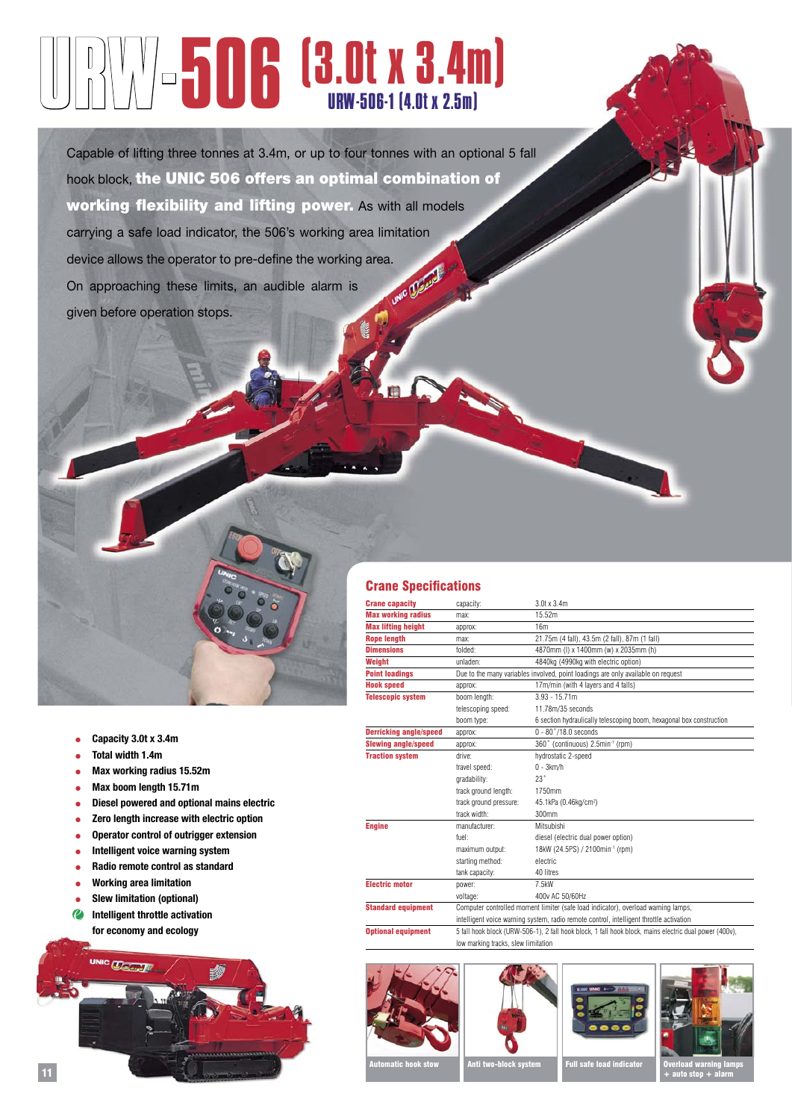## URW-506(3.0t x 3.4m) URW-506-1 (4.0t x 2.5m)

Capable of lifting three tonnes at 3.4m, or up to four tonnes with an optional 5 fall hook block, the UNIC 506 offers an optimal combination of working flexibility and lifting power. As with all models carrying a safe load indicator, the 506's working area limitation device allows the operator to pre-define the working area.<br>On approaching these limits, an audible alarm is On approaching these limits, an audible alarm is given before operation stops.



- **Capacity 3.0t x 3.4m**
- **Total width 1.4m**
- **Max working radius 15.52m**
- **Max boom length 15.71m**
- **Diesel powered and optional mains electric**
- **Zero length increase with electric option**
- **Operator control of outrigger extension**
- **Intelligent voice warning system**
- **Radio remote control as standard**
- **Working area limitation**
- **Slew limitation (optional)**
- **Intelligent throttle activation for economy and ecology**



## Crane Specifications

| <b>Crane capacity</b>         | capacity:                                                                                              | $3.0$ t x $3.4$ m                                                    |  |  |  |  |  |  |
|-------------------------------|--------------------------------------------------------------------------------------------------------|----------------------------------------------------------------------|--|--|--|--|--|--|
| <b>Max working radius</b>     | max:                                                                                                   | 15.52m                                                               |  |  |  |  |  |  |
| <b>Max lifting height</b>     | approx:                                                                                                | 16m                                                                  |  |  |  |  |  |  |
| <b>Rope length</b>            | max:                                                                                                   | 21.75m (4 fall), 43.5m (2 fall), 87m (1 fall)                        |  |  |  |  |  |  |
| <b>Dimensions</b>             | folded:                                                                                                | 4870mm (I) x 1400mm (w) x 2035mm (h)                                 |  |  |  |  |  |  |
| Weight                        | unladen:                                                                                               | 4840kg (4990kg with electric option)                                 |  |  |  |  |  |  |
| <b>Point loadings</b>         | Due to the many variables involved, point loadings are only available on request                       |                                                                      |  |  |  |  |  |  |
| <b>Hook speed</b>             | 17m/min (with 4 layers and 4 falls)<br>approx:                                                         |                                                                      |  |  |  |  |  |  |
| <b>Telescopic system</b>      | boom length:                                                                                           | $3.93 - 15.71m$                                                      |  |  |  |  |  |  |
|                               | telescoping speed:                                                                                     | 11.78m/35 seconds                                                    |  |  |  |  |  |  |
|                               | boom type:                                                                                             | 6 section hydraulically telescoping boom, hexagonal box construction |  |  |  |  |  |  |
| <b>Derricking angle/speed</b> | approx:                                                                                                | $0 - 80^{\circ}/18.0$ seconds                                        |  |  |  |  |  |  |
| <b>Slewing angle/speed</b>    | approx:                                                                                                | 360° (continuous) 2.5min-1 (rpm)                                     |  |  |  |  |  |  |
| <b>Traction system</b>        | drive:                                                                                                 | hydrostatic 2-speed                                                  |  |  |  |  |  |  |
|                               | travel speed:                                                                                          | $0 - 3km/h$                                                          |  |  |  |  |  |  |
|                               | gradability:                                                                                           | 23°                                                                  |  |  |  |  |  |  |
|                               | track ground length:                                                                                   | 1750mm                                                               |  |  |  |  |  |  |
|                               | track ground pressure:                                                                                 | 45.1kPa (0.46kg/cm <sup>2</sup> )                                    |  |  |  |  |  |  |
|                               | track width:                                                                                           | 300mm                                                                |  |  |  |  |  |  |
| <b>Engine</b>                 | manufacturer:                                                                                          | Mitsubishi                                                           |  |  |  |  |  |  |
|                               | fuel:                                                                                                  | diesel (electric dual power option)                                  |  |  |  |  |  |  |
|                               | maximum output:                                                                                        | 18kW (24.5PS) / 2100min-1 (rpm)                                      |  |  |  |  |  |  |
|                               | starting method:                                                                                       | electric                                                             |  |  |  |  |  |  |
|                               | tank capacity:                                                                                         | 40 litres                                                            |  |  |  |  |  |  |
| <b>Electric motor</b>         | power:                                                                                                 | 7.5kW                                                                |  |  |  |  |  |  |
|                               | voltage:                                                                                               | 400y AC 50/60Hz                                                      |  |  |  |  |  |  |
| <b>Standard equipment</b>     | Computer controlled moment limiter (safe load indicator), overload warning lamps,                      |                                                                      |  |  |  |  |  |  |
|                               | intelligent voice warning system, radio remote control, intelligent throttle activation                |                                                                      |  |  |  |  |  |  |
| <b>Optional equipment</b>     | 5 fall hook block (URW-506-1), 2 fall hook block, 1 fall hook block, mains electric dual power (400v), |                                                                      |  |  |  |  |  |  |
|                               |                                                                                                        | low marking tracks, slew limitation                                  |  |  |  |  |  |  |









Anti two-block system Full safe load indicato